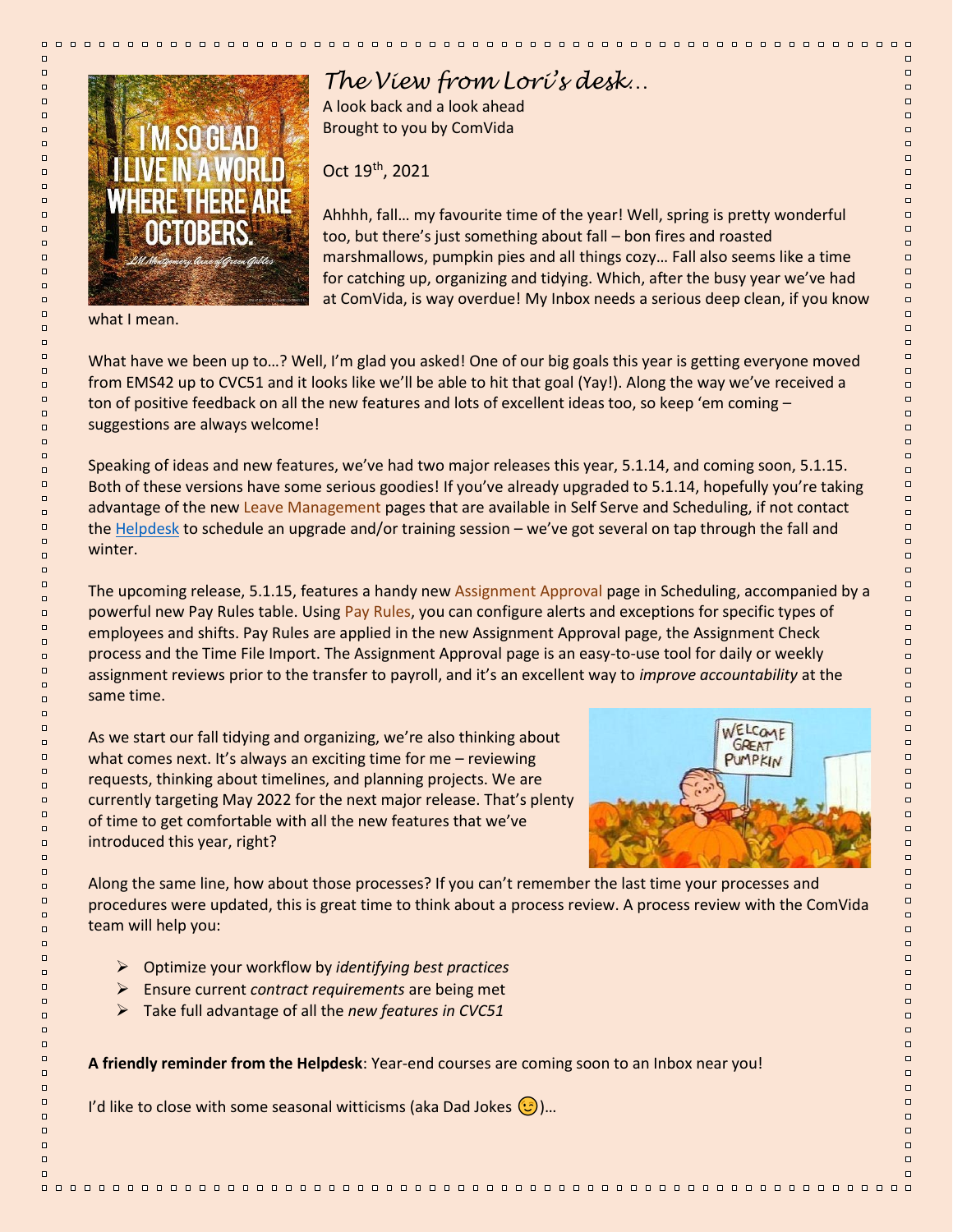

## *The View from Lori's desk…*

A look back and a look ahead Brought to you by ComVida

Oct 19th, 2021

Ahhhh, fall… my favourite time of the year! Well, spring is pretty wonderful too, but there's just something about fall – bon fires and roasted marshmallows, pumpkin pies and all things cozy… Fall also seems like a time for catching up, organizing and tidying. Which, after the busy year we've had at ComVida, is way overdue! My Inbox needs a serious deep clean, if you know

00000000000000

what I mean.

000000000000

 $\Box$ 

 $\Box$ 

 $\Box$ 

 $\Box$ 

 $\Box$ 

 $\Box$ 

 $\Box$ 

 $\Box$ 

 $\Box$ 

 $\Box$ 

 $\Box$ 

 $\Box$ 

 $\Box$ 

 $\Box$ 

 $\Box$ 

 $\Box$ 

 $\Box$ 

 $\Box$ 

 $\Box$ 

 $\Box$ 

 $\Box$ 

 $\Box$ 

 $\Box$ 

 $\Box$ 

 $\Box$ 

 $\Box$ 

 $\Box$ 

 $\Box$ 

 $\Box$ 

 $\Box$ 

 $\Box$ 

 $\Box$ 

 $\Box$ 

 $\Box$ 

 $\Box$ 

 $\Box$ 

 $\Box$ 

 $\Box$ 

 $\Box$ 

 $\Box$ 

 $\Box$ 

 $\square$ 

 $\Box$ 

 $\Box$ 

 $\Box$ 

 $\Box$ 

 $\Box$ 

 $\Box$ 

 $\Box$ 

 $\Box$ 

 $\Box$ 

 $\Box$ 

 $\Box$ 

 $\Box$ 

 $\Box$ 

 $\Box$ 

 $\Box$ 

 $\Box$ 

 $\Box$ 

 $\Box$ 

 $\Box$ 

 $\Box$ 

 $\Box$ 

 $\square$ 

 $\Box$ 

 $\Box$ 

 $\Box$ 

 $\Box$ 

 $\Box$ 

 $\Box$ 

 $\Box$ 

 $\Box$ 

 $\Box$ 

 $\Box$ 

 $\Box$ 

 $\Box$ 

 $\Box$ 

 $\Box$ 

What have we been up to...? Well, I'm glad you asked! One of our big goals this year is getting everyone moved from EMS42 up to CVC51 and it looks like we'll be able to hit that goal (Yay!). Along the way we've received a ton of positive feedback on all the new features and lots of excellent ideas too, so keep 'em coming suggestions are always welcome!

Speaking of ideas and new features, we've had two major releases this year, 5.1.14, and coming soon, 5.1.15. Both of these versions have some serious goodies! If you've already upgraded to 5.1.14, hopefully you're taking advantage of the new Leave Management pages that are available in Self Serve and Scheduling, if not contact the [Helpdesk](mailto:helpdesk@comvida.com?subject=ComVida%20Courses%20&%20Upgrades) to schedule an upgrade and/or training session – we've got several on tap through the fall and winter.

The upcoming release, 5.1.15, features a handy new Assignment Approval page in Scheduling, accompanied by a powerful new Pay Rules table. Using Pay Rules, you can configure alerts and exceptions for specific types of employees and shifts. Pay Rules are applied in the new Assignment Approval page, the Assignment Check process and the Time File Import. The Assignment Approval page is an easy-to-use tool for daily or weekly assignment reviews prior to the transfer to payroll, and it's an excellent way to *improve accountability* at the same time.

As we start our fall tidying and organizing, we're also thinking about what comes next. It's always an exciting time for me – reviewing requests, thinking about timelines, and planning projects. We are currently targeting May 2022 for the next major release. That's plenty of time to get comfortable with all the new features that we've introduced this year, right?



Along the same line, how about those processes? If you can't remember the last time your processes and procedures were updated, this is great time to think about a process review. A process review with the ComVida team will help you:

- ➢ Optimize your workflow by *identifying best practices*
- ➢ Ensure current *contract requirements* are being met
- ➢ Take full advantage of all the *new features in CVC51*

**A friendly reminder from the Helpdesk**: Year-end courses are coming soon to an Inbox near you!

I'd like to close with some seasonal witticisms (aka Dad Jokes  $\left(\frac{1}{2}\right)$ )...